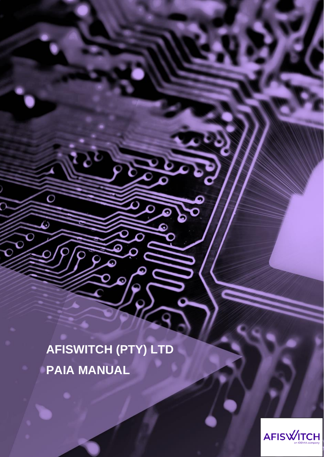**AFISWITCH (PTY) LTD PAIA MANUAL** 

 $\Omega$ 

 $\overline{O}$ 

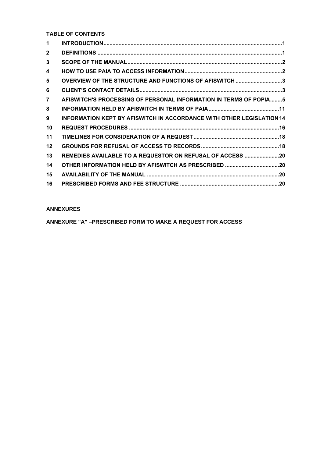**TABLE OF CONTENTS**

| $\blacktriangleleft$ |                                                                       |  |
|----------------------|-----------------------------------------------------------------------|--|
| $\mathbf{2}$         |                                                                       |  |
| 3                    |                                                                       |  |
| 4                    |                                                                       |  |
| 5                    | OVERVIEW OF THE STRUCTURE AND FUNCTIONS OF AFISWITCH 3                |  |
| 6                    |                                                                       |  |
| $\overline{7}$       | AFISWITCH'S PROCESSING OF PERSONAL INFORMATION IN TERMS OF POPIA5     |  |
| 8                    |                                                                       |  |
| 9                    | INFORMATION KEPT BY AFISWITCH IN ACCORDANCE WITH OTHER LEGISLATION 14 |  |
| 10                   |                                                                       |  |
| 11                   |                                                                       |  |
| 12                   |                                                                       |  |
| 13                   | REMEDIES AVAILABLE TO A REQUESTOR ON REFUSAL OF ACCESS 20             |  |
| 14                   | OTHER INFORMATION HELD BY AFISWITCH AS PRESCRIBED 20                  |  |
| 15                   |                                                                       |  |
| 16                   |                                                                       |  |

### **ANNEXURES**

**ANNEXURE "A" –PRESCRIBED FORM TO MAKE A REQUEST FOR ACCESS**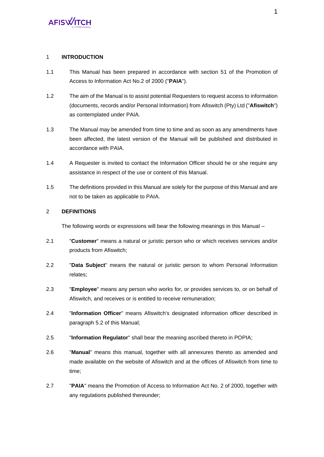#### 1 **INTRODUCTION**

- 1.1 This Manual has been prepared in accordance with section 51 of the Promotion of Access to Information Act No.2 of 2000 ("**PAIA**").
- 1.2 The aim of the Manual is to assist potential Requesters to request access to information (documents, records and/or Personal Information) from Afiswitch (Pty) Ltd ("**Afiswitch**") as contemplated under PAIA.
- 1.3 The Manual may be amended from time to time and as soon as any amendments have been affected, the latest version of the Manual will be published and distributed in accordance with PAIA.
- 1.4 A Requester is invited to contact the Information Officer should he or she require any assistance in respect of the use or content of this Manual.
- 1.5 The definitions provided in this Manual are solely for the purpose of this Manual and are not to be taken as applicable to PAIA.

### 2 **DEFINITIONS**

The following words or expressions will bear the following meanings in this Manual –

- 2.1 "**Customer**" means a natural or juristic person who or which receives services and/or products from Afiswitch;
- 2.2 "**Data Subject**" means the natural or juristic person to whom Personal Information relates;
- 2.3 "**Employee**" means any person who works for, or provides services to, or on behalf of Afiswitch, and receives or is entitled to receive remuneration;
- 2.4 "**Information Officer**" means Afiswitch's designated information officer described in paragraph [5.2](#page-4-0) of this Manual;
- 2.5 "**Information Regulator**" shall bear the meaning ascribed thereto in POPIA;
- 2.6 "**Manual**" means this manual, together with all annexures thereto as amended and made available on the website of Afiswitch and at the offices of Afiswitch from time to time;
- 2.7 "**PAIA**" means the Promotion of Access to Information Act No. 2 of 2000, together with any regulations published thereunder;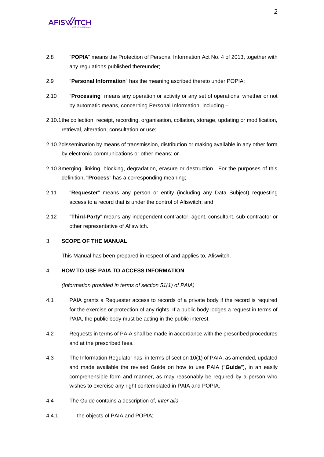- 2.8 "**POPIA**" means the Protection of Personal Information Act No. 4 of 2013, together with any regulations published thereunder;
- 2.9 "**Personal Information**" has the meaning ascribed thereto under POPIA;
- 2.10 "**Processing**" means any operation or activity or any set of operations, whether or not by automatic means, concerning Personal Information, including –
- 2.10.1the collection, receipt, recording, organisation, collation, storage, updating or modification, retrieval, alteration, consultation or use;
- 2.10.2dissemination by means of transmission, distribution or making available in any other form by electronic communications or other means; or
- 2.10.3merging, linking, blocking, degradation, erasure or destruction. For the purposes of this definition, "**Process**" has a corresponding meaning;
- 2.11 "**Requester**" means any person or entity (including any Data Subject) requesting access to a record that is under the control of Afiswitch; and
- 2.12 "**Third-Party**" means any independent contractor, agent, consultant, sub-contractor or other representative of Afiswitch.

### 3 **SCOPE OF THE MANUAL**

This Manual has been prepared in respect of and applies to, Afiswitch.

### 4 **HOW TO USE PAIA TO ACCESS INFORMATION**

*(Information provided in terms of section 51(1) of PAIA)*

- 4.1 PAIA grants a Requester access to records of a private body if the record is required for the exercise or protection of any rights. If a public body lodges a request in terms of PAIA, the public body must be acting in the public interest.
- 4.2 Requests in terms of PAIA shall be made in accordance with the prescribed procedures and at the prescribed fees.
- 4.3 The Information Regulator has, in terms of section 10(1) of PAIA, as amended, updated and made available the revised Guide on how to use PAIA ("**Guide**"), in an easily comprehensible form and manner, as may reasonably be required by a person who wishes to exercise any right contemplated in PAIA and POPIA.
- 4.4 The Guide contains a description of, *inter alia* –
- 4.4.1 the objects of PAIA and POPIA;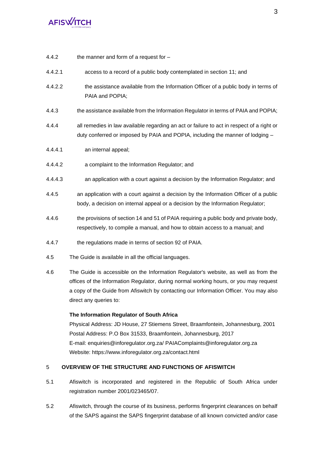- 4.4.2 the manner and form of a request for –
- 4.4.2.1 access to a record of a public body contemplated in section 11; and
- 4.4.2.2 the assistance available from the Information Officer of a public body in terms of PAIA and POPIA;
- 4.4.3 the assistance available from the Information Regulator in terms of PAIA and POPIA;
- 4.4.4 all remedies in law available regarding an act or failure to act in respect of a right or duty conferred or imposed by PAIA and POPIA, including the manner of lodging –
- 4.4.4.1 an internal appeal;
- 4.4.4.2 a complaint to the Information Regulator; and
- 4.4.4.3 an application with a court against a decision by the Information Regulator; and
- 4.4.5 an application with a court against a decision by the Information Officer of a public body, a decision on internal appeal or a decision by the Information Regulator;
- 4.4.6 the provisions of section 14 and 51 of PAIA requiring a public body and private body, respectively, to compile a manual, and how to obtain access to a manual; and
- 4.4.7 the regulations made in terms of section 92 of PAIA.
- 4.5 The Guide is available in all the official languages.
- 4.6 The Guide is accessible on the Information Regulator's website, as well as from the offices of the Information Regulator, during normal working hours, or you may request a copy of the Guide from Afiswitch by contacting our Information Officer. You may also direct any queries to:

#### **The Information Regulator of South Africa**

Physical Address: JD House, 27 Stiemens Street, Braamfontein, Johannesburg, 2001 Postal Address: P.O Box 31533, Braamfontein, Johannesburg, 2017 E-mail: enquiries@inforegulator.org.za/ PAIAComplaints@inforegulator.org.za Website: https://www.inforegulator.org.za/contact.html

### 5 **OVERVIEW OF THE STRUCTURE AND FUNCTIONS OF AFISWITCH**

- 5.1 Afiswitch is incorporated and registered in the Republic of South Africa under registration number 2001/023465/07.
- <span id="page-4-0"></span>5.2 Afiswitch, through the course of its business, performs fingerprint clearances on behalf of the SAPS against the SAPS fingerprint database of all known convicted and/or case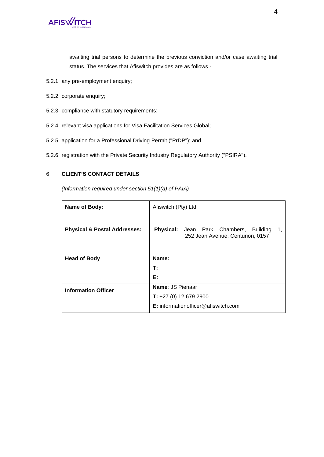

awaiting trial persons to determine the previous conviction and/or case awaiting trial status. The services that Afiswitch provides are as follows -

- 5.2.1 any pre-employment enquiry;
- 5.2.2 corporate enquiry;
- 5.2.3 compliance with statutory requirements;
- 5.2.4 relevant visa applications for Visa Facilitation Services Global;
- 5.2.5 application for a Professional Driving Permit ("PrDP"); and
- 5.2.6 registration with the Private Security Industry Regulatory Authority ("PSIRA").

### 6 **CLIENT'S CONTACT DETAILS**

*(Information required under section 51(1)(a) of PAIA)*

| Name of Body:                           | Afiswitch (Pty) Ltd                                                                     |  |  |  |
|-----------------------------------------|-----------------------------------------------------------------------------------------|--|--|--|
| <b>Physical &amp; Postal Addresses:</b> | <b>Physical:</b> Jean Park Chambers, Building<br>1,<br>252 Jean Avenue, Centurion, 0157 |  |  |  |
| <b>Head of Body</b>                     | Name:                                                                                   |  |  |  |
|                                         | T:                                                                                      |  |  |  |
|                                         | Е:                                                                                      |  |  |  |
| <b>Information Officer</b>              | Name: JS Pienaar                                                                        |  |  |  |
|                                         | <b>T:</b> $+27$ (0) 12 679 2900                                                         |  |  |  |
|                                         | E: informationofficer@afiswitch.com                                                     |  |  |  |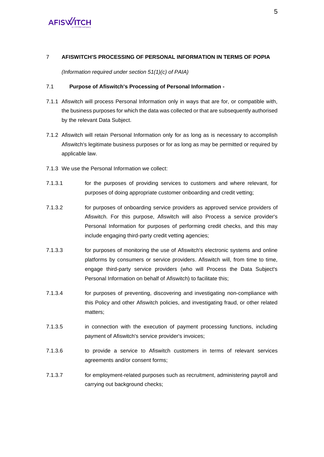### 7 **AFISWITCH'S PROCESSING OF PERSONAL INFORMATION IN TERMS OF POPIA**

*(Information required under section 51(1)(c) of PAIA)*

### 7.1 **Purpose of Afiswitch's Processing of Personal Information -**

- 7.1.1 Afiswitch will process Personal Information only in ways that are for, or compatible with, the business purposes for which the data was collected or that are subsequently authorised by the relevant Data Subject.
- 7.1.2 Afiswitch will retain Personal Information only for as long as is necessary to accomplish Afiswitch's legitimate business purposes or for as long as may be permitted or required by applicable law.
- <span id="page-6-0"></span>7.1.3 We use the Personal Information we collect:
- 7.1.3.1 for the purposes of providing services to customers and where relevant, for purposes of doing appropriate customer onboarding and credit vetting;
- 7.1.3.2 for purposes of onboarding service providers as approved service providers of Afiswitch. For this purpose, Afiswitch will also Process a service provider's Personal Information for purposes of performing credit checks, and this may include engaging third-party credit vetting agencies;
- 7.1.3.3 for purposes of monitoring the use of Afiswitch's electronic systems and online platforms by consumers or service providers. Afiswitch will, from time to time, engage third-party service providers (who will Process the Data Subject's Personal Information on behalf of Afiswitch) to facilitate this;
- 7.1.3.4 for purposes of preventing, discovering and investigating non-compliance with this Policy and other Afiswitch policies, and investigating fraud, or other related matters;
- 7.1.3.5 in connection with the execution of payment processing functions, including payment of Afiswitch's service provider's invoices;
- 7.1.3.6 to provide a service to Afiswitch customers in terms of relevant services agreements and/or consent forms;
- 7.1.3.7 for employment-related purposes such as recruitment, administering payroll and carrying out background checks;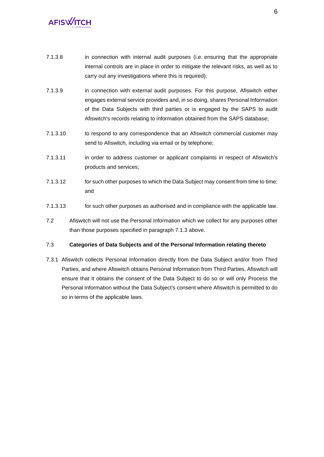- 7.1.3.8 in connection with internal audit purposes (i.e. ensuring that the appropriate internal controls are in place in order to mitigate the relevant risks, as well as to carry out any investigations where this is required);
- 7.1.3.9 in connection with external audit purposes. For this purpose, Afiswitch either engages external service providers and, in so doing, shares Personal Information of the Data Subjects with third parties or is engaged by the SAPS to audit Afiswitch's records relating to information obtained from the SAPS database;
- 7.1.3.10 to respond to any correspondence that an Afiswitch commercial customer may send to Afiswitch, including via email or by telephone;
- 7.1.3.11 in order to address customer or applicant complaints in respect of Afiswitch's products and services;
- 7.1.3.12 for such other purposes to which the Data Subject may consent from time to time; and
- 7.1.3.13 for such other purposes as authorised and in compliance with the applicable law.
- 7.2 Afiswitch will not use the Personal Information which we collect for any purposes other than those purposes specified in paragraph [7.1.3](#page-6-0) above.

### 7.3 **Categories of Data Subjects and of the Personal Information relating thereto**

7.3.1 Afiswitch collects Personal Information directly from the Data Subject and/or from Third Parties, and where Afiswitch obtains Personal Information from Third Parties, Afiswitch will ensure that it obtains the consent of the Data Subject to do so or will only Process the Personal Information without the Data Subject's consent where Afiswitch is permitted to do so in terms of the applicable laws.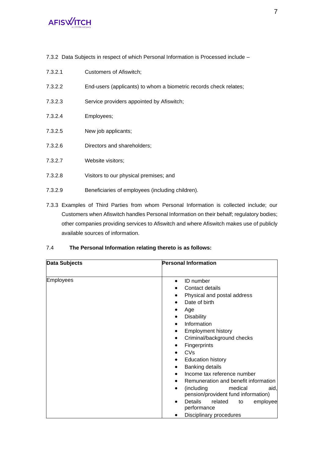7.3.2 Data Subjects in respect of which Personal Information is Processed include –

| 7.3.2.1 | Customers of Afiswitch;                                           |
|---------|-------------------------------------------------------------------|
| 7.3.2.2 | End-users (applicants) to whom a biometric records check relates; |
| 7.3.2.3 | Service providers appointed by Afiswitch;                         |
| 7.3.2.4 | Employees;                                                        |
| 7.3.2.5 | New job applicants;                                               |
| 7.3.2.6 | Directors and shareholders;                                       |
| 7.3.2.7 | Website visitors;                                                 |
| 7.3.2.8 | Visitors to our physical premises; and                            |
| 7.3.2.9 | Beneficiaries of employees (including children).                  |

7.3.3 Examples of Third Parties from whom Personal Information is collected include; our Customers when Afiswitch handles Personal Information on their behalf; regulatory bodies; other companies providing services to Afiswitch and where Afiswitch makes use of publicly available sources of information.

### 7.4 **The Personal Information relating thereto is as follows:**

| Data Subjects    | <b>Personal Information</b>                                                                                                                                                                                 |
|------------------|-------------------------------------------------------------------------------------------------------------------------------------------------------------------------------------------------------------|
| <b>Employees</b> | <b>ID</b> number<br>$\bullet$<br>Contact details<br>Physical and postal address<br>Date of birth<br>Age<br><b>Disability</b>                                                                                |
|                  | Information<br><b>Employment history</b><br>Criminal/background checks<br>$\bullet$<br><b>Fingerprints</b><br>CVs                                                                                           |
|                  | <b>Education history</b><br>٠<br><b>Banking details</b><br>٠<br>Income tax reference number<br>Remuneration and benefit information<br>(including<br>medical<br>aid,<br>pension/provident fund information) |
|                  | Details<br>related<br>employee<br>to<br>performance<br>Disciplinary procedures                                                                                                                              |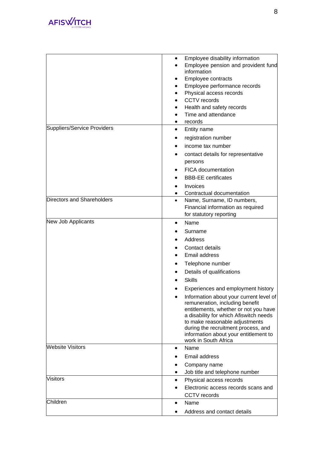

|                             | Employee disability information<br>Employee pension and provident fund<br>information<br>Employee contracts<br>Employee performance records<br>Physical access records<br><b>CCTV</b> records<br>Health and safety records<br>Time and attendance<br>records |
|-----------------------------|--------------------------------------------------------------------------------------------------------------------------------------------------------------------------------------------------------------------------------------------------------------|
| Suppliers/Service Providers |                                                                                                                                                                                                                                                              |
|                             | Entity name<br>٠                                                                                                                                                                                                                                             |
|                             | registration number                                                                                                                                                                                                                                          |
|                             | income tax number                                                                                                                                                                                                                                            |
|                             | contact details for representative                                                                                                                                                                                                                           |
|                             | persons                                                                                                                                                                                                                                                      |
|                             | <b>FICA</b> documentation                                                                                                                                                                                                                                    |
|                             | <b>BBB-EE</b> certificates                                                                                                                                                                                                                                   |
|                             | Invoices                                                                                                                                                                                                                                                     |
| Directors and Shareholders  | Contractual documentation                                                                                                                                                                                                                                    |
|                             | Name, Surname, ID numbers,<br>$\bullet$<br>Financial information as required                                                                                                                                                                                 |
|                             | for statutory reporting                                                                                                                                                                                                                                      |
| New Job Applicants          | Name<br>$\bullet$                                                                                                                                                                                                                                            |
|                             | Surname                                                                                                                                                                                                                                                      |
|                             | Address                                                                                                                                                                                                                                                      |
|                             | Contact details                                                                                                                                                                                                                                              |
|                             | Email address                                                                                                                                                                                                                                                |
|                             | Telephone number                                                                                                                                                                                                                                             |
|                             | Details of qualifications                                                                                                                                                                                                                                    |
|                             | <b>Skills</b>                                                                                                                                                                                                                                                |
|                             | Experiences and employment history                                                                                                                                                                                                                           |
|                             | Information about your current level of                                                                                                                                                                                                                      |
|                             | remuneration, including benefit<br>entitlements, whether or not you have<br>a disability for which Afiswitch needs<br>to make reasonable adjustments<br>during the recruitment process, and<br>information about your entitlement to<br>work in South Africa |
| <b>Website Visitors</b>     | Name<br>٠                                                                                                                                                                                                                                                    |
|                             | Email address                                                                                                                                                                                                                                                |
|                             | Company name                                                                                                                                                                                                                                                 |
|                             | Job title and telephone number                                                                                                                                                                                                                               |
| <b>Visitors</b>             | Physical access records<br>٠                                                                                                                                                                                                                                 |
|                             | Electronic access records scans and                                                                                                                                                                                                                          |
|                             | <b>CCTV</b> records                                                                                                                                                                                                                                          |
| Children                    | Name<br>$\bullet$                                                                                                                                                                                                                                            |
|                             | Address and contact details                                                                                                                                                                                                                                  |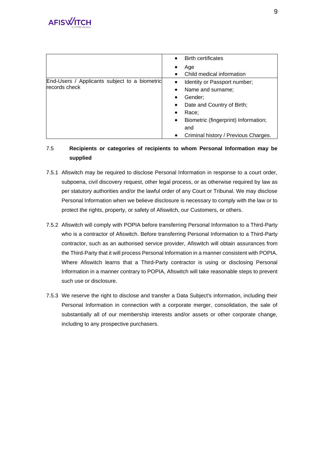|                                               | <b>Birth certificates</b>                         |
|-----------------------------------------------|---------------------------------------------------|
|                                               | Age                                               |
|                                               | Child medical information                         |
| End-Users / Applicants subject to a biometric | Identity or Passport number;<br>$\bullet$         |
| records check                                 | Name and surname;<br>$\bullet$                    |
|                                               | Gender;<br>٠                                      |
|                                               | Date and Country of Birth;<br>$\bullet$           |
|                                               | Race:<br>٠                                        |
|                                               | Biometric (fingerprint) Information;<br>$\bullet$ |
|                                               | and                                               |
|                                               | Criminal history / Previous Charges.<br>$\bullet$ |

### 7.5 **Recipients or categories of recipients to whom Personal Information may be supplied**

- 7.5.1 Afiswitch may be required to disclose Personal Information in response to a court order, subpoena, civil discovery request, other legal process, or as otherwise required by law as per statutory authorities and/or the lawful order of any Court or Tribunal. We may disclose Personal Information when we believe disclosure is necessary to comply with the law or to protect the rights, property, or safety of Afiswitch, our Customers, or others.
- 7.5.2 Afiswitch will comply with POPIA before transferring Personal Information to a Third-Party who is a contractor of Afiswitch. Before transferring Personal Information to a Third-Party contractor, such as an authorised service provider, Afiswitch will obtain assurances from the Third-Party that it will process Personal Information in a manner consistent with POPIA. Where Afiswitch learns that a Third-Party contractor is using or disclosing Personal Information in a manner contrary to POPIA, Afiswitch will take reasonable steps to prevent such use or disclosure.
- 7.5.3 We reserve the right to disclose and transfer a Data Subject's information, including their Personal Information in connection with a corporate merger, consolidation, the sale of substantially all of our membership interests and/or assets or other corporate change, including to any prospective purchasers.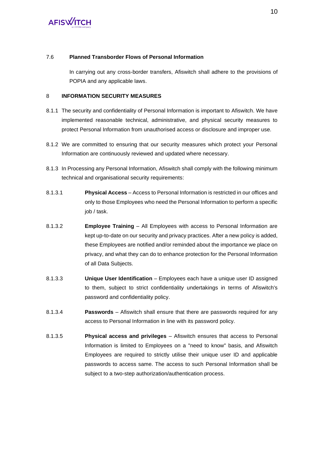### 7.6 **Planned Transborder Flows of Personal Information**

In carrying out any cross-border transfers, Afiswitch shall adhere to the provisions of POPIA and any applicable laws.

### 8 **INFORMATION SECURITY MEASURES**

- 8.1.1 The security and confidentiality of Personal Information is important to Afiswitch. We have implemented reasonable technical, administrative, and physical security measures to protect Personal Information from unauthorised access or disclosure and improper use.
- 8.1.2 We are committed to ensuring that our security measures which protect your Personal Information are continuously reviewed and updated where necessary.
- 8.1.3 In Processing any Personal Information, Afiswitch shall comply with the following minimum technical and organisational security requirements:
- 8.1.3.1 **Physical Access** Access to Personal Information is restricted in our offices and only to those Employees who need the Personal Information to perform a specific job / task.
- 8.1.3.2 **Employee Training** All Employees with access to Personal Information are kept up-to-date on our security and privacy practices. After a new policy is added, these Employees are notified and/or reminded about the importance we place on privacy, and what they can do to enhance protection for the Personal Information of all Data Subjects.
- 8.1.3.3 **Unique User Identification** Employees each have a unique user ID assigned to them, subject to strict confidentiality undertakings in terms of Afiswitch's password and confidentiality policy.
- 8.1.3.4 **Passwords** Afiswitch shall ensure that there are passwords required for any access to Personal Information in line with its password policy.
- 8.1.3.5 **Physical access and privileges** Afiswitch ensures that access to Personal Information is limited to Employees on a "need to know" basis, and Afiswitch Employees are required to strictly utilise their unique user ID and applicable passwords to access same. The access to such Personal Information shall be subject to a two-step authorization/authentication process.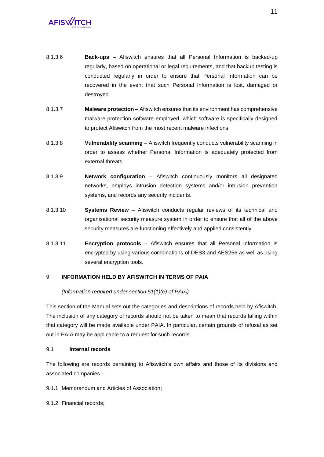- 8.1.3.6 **Back-ups** Afiswitch ensures that all Personal Information is backed-up regularly, based on operational or legal requirements, and that backup testing is conducted regularly in order to ensure that Personal Information can be recovered in the event that such Personal Information is lost, damaged or destroyed.
- 8.1.3.7 **Malware protection** Afiswitch ensures that its environment has comprehensive malware protection software employed, which software is specifically designed to protect Afiswitch from the most recent malware infections.
- 8.1.3.8 **Vulnerability scanning** Afiswitch frequently conducts vulnerability scanning in order to assess whether Personal Information is adequately protected from external threats.
- 8.1.3.9 **Network configuration** Afiswitch continuously monitors all designated networks, employs intrusion detection systems and/or intrusion prevention systems, and records any security incidents.
- 8.1.3.10 **Systems Review** Afiswitch conducts regular reviews of its technical and organisational security measure system in order to ensure that all of the above security measures are functioning effectively and applied consistently.
- 8.1.3.11 **Encryption protocols**  Afiswitch ensures that all Personal Information is encrypted by using various combinations of DES3 and AES256 as well as using several encryption tools.

### 9 **INFORMATION HELD BY AFISWITCH IN TERMS OF PAIA**

### *(Information required under section 51(1)(e) of PAIA)*

This section of the Manual sets out the categories and descriptions of records held by Afiswitch. The inclusion of any category of records should not be taken to mean that records falling within that category will be made available under PAIA. In particular, certain grounds of refusal as set out in PAIA may be applicable to a request for such records.

### 9.1 **Internal records**

The following are records pertaining to Afiswitch's own affairs and those of its divisions and associated companies -

9.1.1 Memorandum and Articles of Association;

9.1.2 Financial records;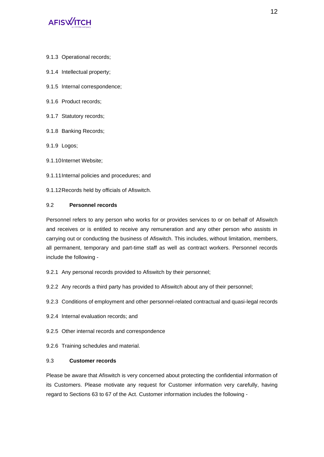

- 9.1.3 Operational records;
- 9.1.4 Intellectual property;
- 9.1.5 Internal correspondence;
- 9.1.6 Product records;
- 9.1.7 Statutory records;
- 9.1.8 Banking Records;
- 9.1.9 Logos;
- 9.1.10Internet Website;
- 9.1.11Internal policies and procedures; and
- 9.1.12Records held by officials of Afiswitch.

### 9.2 **Personnel records**

Personnel refers to any person who works for or provides services to or on behalf of Afiswitch and receives or is entitled to receive any remuneration and any other person who assists in carrying out or conducting the business of Afiswitch. This includes, without limitation, members, all permanent, temporary and part-time staff as well as contract workers. Personnel records include the following -

- 9.2.1 Any personal records provided to Afiswitch by their personnel;
- 9.2.2 Any records a third party has provided to Afiswitch about any of their personnel;
- 9.2.3 Conditions of employment and other personnel-related contractual and quasi-legal records
- 9.2.4 Internal evaluation records; and
- 9.2.5 Other internal records and correspondence
- 9.2.6 Training schedules and material.

### 9.3 **Customer records**

Please be aware that Afiswitch is very concerned about protecting the confidential information of its Customers. Please motivate any request for Customer information very carefully, having regard to Sections 63 to 67 of the Act. Customer information includes the following -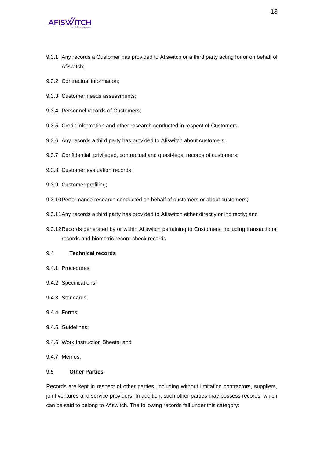- 9.3.1 Any records a Customer has provided to Afiswitch or a third party acting for or on behalf of Afiswitch;
- 9.3.2 Contractual information;
- 9.3.3 Customer needs assessments;
- 9.3.4 Personnel records of Customers;
- 9.3.5 Credit information and other research conducted in respect of Customers;
- 9.3.6 Any records a third party has provided to Afiswitch about customers;
- 9.3.7 Confidential, privileged, contractual and quasi-legal records of customers;
- 9.3.8 Customer evaluation records;
- 9.3.9 Customer profiling;
- 9.3.10Performance research conducted on behalf of customers or about customers;
- 9.3.11Any records a third party has provided to Afiswitch either directly or indirectly; and
- 9.3.12Records generated by or within Afiswitch pertaining to Customers, including transactional records and biometric record check records.

### 9.4 **Technical records**

- 9.4.1 Procedures;
- 9.4.2 Specifications;
- 9.4.3 Standards;
- 9.4.4 Forms;
- 9.4.5 Guidelines;
- 9.4.6 Work Instruction Sheets; and
- 9.4.7 Memos.

### 9.5 **Other Parties**

Records are kept in respect of other parties, including without limitation contractors, suppliers, joint ventures and service providers. In addition, such other parties may possess records, which can be said to belong to Afiswitch. The following records fall under this category: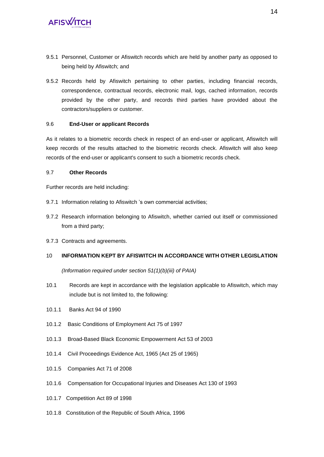- 9.5.1 Personnel, Customer or Afiswitch records which are held by another party as opposed to being held by Afiswitch; and
- 9.5.2 Records held by Afiswitch pertaining to other parties, including financial records, correspondence, contractual records, electronic mail, logs, cached information, records provided by the other party, and records third parties have provided about the contractors/suppliers or customer.

### 9.6 **End-User or applicant Records**

As it relates to a biometric records check in respect of an end-user or applicant, Afiswitch will keep records of the results attached to the biometric records check. Afiswitch will also keep records of the end-user or applicant's consent to such a biometric records check.

### 9.7 **Other Records**

Further records are held including:

- 9.7.1 Information relating to Afiswitch 's own commercial activities;
- 9.7.2 Research information belonging to Afiswitch, whether carried out itself or commissioned from a third party;
- 9.7.3 Contracts and agreements.

### 10 **INFORMATION KEPT BY AFISWITCH IN ACCORDANCE WITH OTHER LEGISLATION**

*(Information required under section 51(1)(b)(iii) of PAIA)*

- 10.1 Records are kept in accordance with the legislation applicable to Afiswitch, which may include but is not limited to, the following:
- 10.1.1 Banks Act 94 of 1990
- 10.1.2 Basic Conditions of Employment Act 75 of 1997
- 10.1.3 Broad-Based Black Economic Empowerment Act 53 of 2003
- 10.1.4 Civil Proceedings Evidence Act, 1965 (Act 25 of 1965)
- 10.1.5 Companies Act 71 of 2008
- 10.1.6 Compensation for Occupational Injuries and Diseases Act 130 of 1993
- 10.1.7 Competition Act 89 of 1998
- 10.1.8 Constitution of the Republic of South Africa, 1996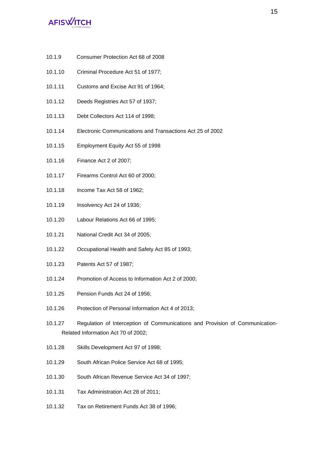- 10.1.9 Consumer Protection Act 68 of 2008
- 10.1.10 Criminal Procedure Act 51 of 1977;
- 10.1.11 Customs and Excise Act 91 of 1964;
- 10.1.12 Deeds Registries Act 57 of 1937;
- 10.1.13 Debt Collectors Act 114 of 1998;
- 10.1.14 Electronic Communications and Transactions Act 25 of 2002
- 10.1.15 Employment Equity Act 55 of 1998
- 10.1.16 Finance Act 2 of 2007;
- 10.1.17 Firearms Control Act 60 of 2000;
- 10.1.18 Income Tax Act 58 of 1962;
- 10.1.19 Insolvency Act 24 of 1936;
- 10.1.20 Labour Relations Act 66 of 1995;
- 10.1.21 National Credit Act 34 of 2005;
- 10.1.22 Occupational Health and Safety Act 85 of 1993;
- 10.1.23 Patents Act 57 of 1987;
- 10.1.24 Promotion of Access to Information Act 2 of 2000;
- 10.1.25 Pension Funds Act 24 of 1956;
- 10.1.26 Protection of Personal Information Act 4 of 2013;
- 10.1.27 Regulation of Interception of Communications and Provision of Communication-Related Information Act 70 of 2002;
- 10.1.28 Skills Development Act 97 of 1998;
- 10.1.29 South African Police Service Act 68 of 1995;
- 10.1.30 South African Revenue Service Act 34 of 1997;
- 10.1.31 Tax Administration Act 28 of 2011;
- 10.1.32 Tax on Retirement Funds Act 38 of 1996;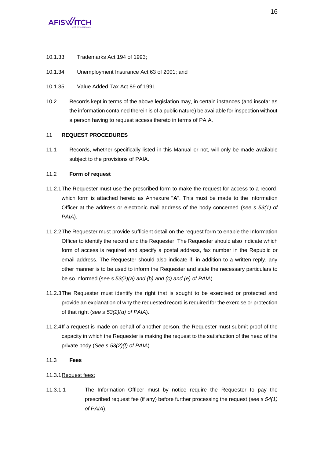- 10.1.33 Trademarks Act 194 of 1993;
- 10.1.34 Unemployment Insurance Act 63 of 2001; and
- 10.1.35 Value Added Tax Act 89 of 1991.
- 10.2 Records kept in terms of the above legislation may, in certain instances (and insofar as the information contained therein is of a public nature) be available for inspection without a person having to request access thereto in terms of PAIA.

### 11 **REQUEST PROCEDURES**

11.1 Records, whether specifically listed in this Manual or not, will only be made available subject to the provisions of PAIA.

### 11.2 **Form of request**

- 11.2.1The Requester must use the prescribed form to make the request for access to a record, which form is attached hereto as Annexure "**A**". This must be made to the Information Officer at the address or electronic mail address of the body concerned (*see s 53(1) of PAIA*).
- 11.2.2The Requester must provide sufficient detail on the request form to enable the Information Officer to identify the record and the Requester. The Requester should also indicate which form of access is required and specify a postal address, fax number in the Republic or email address. The Requester should also indicate if, in addition to a written reply, any other manner is to be used to inform the Requester and state the necessary particulars to be so informed (*see s 53(2)(a) and (b) and (c) and (e) of PAIA*).
- 11.2.3The Requester must identify the right that is sought to be exercised or protected and provide an explanation of why the requested record is required for the exercise or protection of that right (s*ee s 53(2)(d) of PAIA*).
- 11.2.4If a request is made on behalf of another person, the Requester must submit proof of the capacity in which the Requester is making the request to the satisfaction of the head of the private body (*See s 53(2)(f) of PAIA*).

### 11.3 **Fees**

- 11.3.1Request fees:
- 11.3.1.1 The Information Officer must by notice require the Requester to pay the prescribed request fee (if any) before further processing the request (s*ee s 54(1) of PAIA*).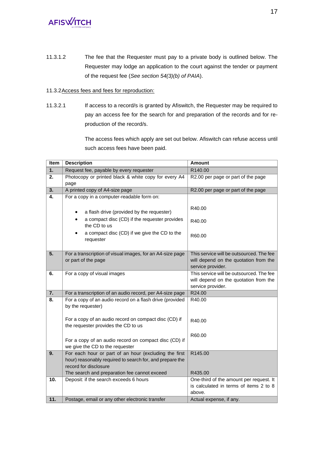11.3.1.2 The fee that the Requester must pay to a private body is outlined below. The Requester may lodge an application to the court against the tender or payment of the request fee (*See section 54(3)(b) of PAIA*).

### 11.3.2Access fees and fees for reproduction:

11.3.2.1 If access to a record/s is granted by Afiswitch, the Requester may be required to pay an access fee for the search for and preparation of the records and for reproduction of the record/s.

> The access fees which apply are set out below. Afiswitch can refuse access until such access fees have been paid.

| Item | <b>Description</b>                                                                                                                         | <b>Amount</b>                            |  |  |
|------|--------------------------------------------------------------------------------------------------------------------------------------------|------------------------------------------|--|--|
| 1.   | Request fee, payable by every requester                                                                                                    | R140.00                                  |  |  |
| 2.   | Photocopy or printed black & white copy for every A4                                                                                       | R2.00 per page or part of the page       |  |  |
|      | page                                                                                                                                       |                                          |  |  |
| 3.   | A printed copy of A4-size page                                                                                                             | R2.00 per page or part of the page       |  |  |
| 4.   | For a copy in a computer-readable form on:                                                                                                 |                                          |  |  |
|      | a flash drive (provided by the requester)<br>a compact disc (CD) if the requester provides<br>the CD to us                                 | R40.00<br>R40.00                         |  |  |
|      | a compact disc (CD) if we give the CD to the<br>requester                                                                                  | R60.00                                   |  |  |
| 5.   | For a transcription of visual images, for an A4-size page                                                                                  | This service will be outsourced. The fee |  |  |
|      | or part of the page                                                                                                                        | will depend on the quotation from the    |  |  |
|      |                                                                                                                                            | service provider.                        |  |  |
| 6.   | For a copy of visual images                                                                                                                | This service will be outsourced. The fee |  |  |
|      |                                                                                                                                            | will depend on the quotation from the    |  |  |
|      |                                                                                                                                            | service provider.                        |  |  |
| 7.   | For a transcription of an audio record, per A4-size page                                                                                   | R24.00                                   |  |  |
| 8.   | For a copy of an audio record on a flash drive (provided<br>by the requester)                                                              | R40.00                                   |  |  |
|      | For a copy of an audio record on compact disc (CD) if<br>the requester provides the CD to us                                               | R40.00                                   |  |  |
|      |                                                                                                                                            | R60.00                                   |  |  |
|      | For a copy of an audio record on compact disc (CD) if<br>we give the CD to the requester                                                   |                                          |  |  |
| 9.   | For each hour or part of an hour (excluding the first<br>hour) reasonably required to search for, and prepare the<br>record for disclosure | R145.00                                  |  |  |
|      | The search and preparation fee cannot exceed                                                                                               | R435.00                                  |  |  |
| 10.  | Deposit: if the search exceeds 6 hours                                                                                                     | One-third of the amount per request. It  |  |  |
|      |                                                                                                                                            | is calculated in terms of items 2 to 8   |  |  |
|      |                                                                                                                                            | above.                                   |  |  |
| 11.  | Postage, email or any other electronic transfer                                                                                            | Actual expense, if any.                  |  |  |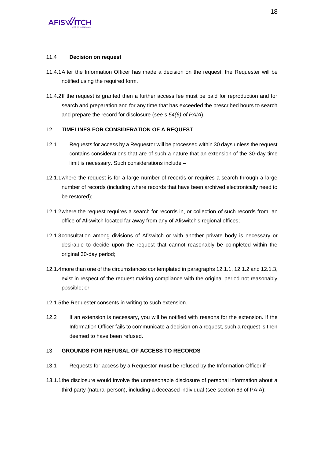### 11.4 **Decision on request**

- 11.4.1After the Information Officer has made a decision on the request, the Requester will be notified using the required form.
- 11.4.2If the request is granted then a further access fee must be paid for reproduction and for search and preparation and for any time that has exceeded the prescribed hours to search and prepare the record for disclosure (*see s 54(6) of PAIA*).

### 12 **TIMELINES FOR CONSIDERATION OF A REQUEST**

- 12.1 Requests for access by a Requestor will be processed within 30 days unless the request contains considerations that are of such a nature that an extension of the 30-day time limit is necessary. Such considerations include –
- <span id="page-19-0"></span>12.1.1where the request is for a large number of records or requires a search through a large number of records (including where records that have been archived electronically need to be restored);
- <span id="page-19-1"></span>12.1.2where the request requires a search for records in, or collection of such records from, an office of Afiswitch located far away from any of Afiswitch's regional offices;
- <span id="page-19-2"></span>12.1.3consultation among divisions of Afiswitch or with another private body is necessary or desirable to decide upon the request that cannot reasonably be completed within the original 30-day period;
- 12.1.4more than one of the circumstances contemplated in paragraph[s 12.1.1,](#page-19-0) [12.1.2](#page-19-1) an[d 12.1.3,](#page-19-2) exist in respect of the request making compliance with the original period not reasonably possible; or
- 12.1.5the Requester consents in writing to such extension.
- 12.2 If an extension is necessary, you will be notified with reasons for the extension. If the Information Officer fails to communicate a decision on a request, such a request is then deemed to have been refused.

### 13 **GROUNDS FOR REFUSAL OF ACCESS TO RECORDS**

- 13.1 Requests for access by a Requestor **must** be refused by the Information Officer if –
- 13.1.1the disclosure would involve the unreasonable disclosure of personal information about a third party (natural person), including a deceased individual (see section 63 of PAIA);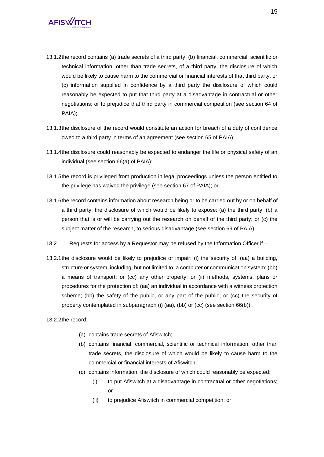- 13.1.2the record contains (a) trade secrets of a third party, (b) financial, commercial, scientific or technical information, other than trade secrets, of a third party, the disclosure of which would be likely to cause harm to the commercial or financial interests of that third party, or (c) information supplied in confidence by a third party the disclosure of which could reasonably be expected to put that third party at a disadvantage in contractual or other negotiations; or to prejudice that third party in commercial competition (see section 64 of PAIA);
- 13.1.3the disclosure of the record would constitute an action for breach of a duty of confidence owed to a third party in terms of an agreement (see section 65 of PAIA);
- 13.1.4the disclosure could reasonably be expected to endanger the life or physical safety of an individual (see section 66(a) of PAIA);
- 13.1.5the record is privileged from production in legal proceedings unless the person entitled to the privilege has waived the privilege (see section 67 of PAIA); or
- 13.1.6the record contains information about research being or to be carried out by or on behalf of a third party, the disclosure of which would be likely to expose: (a) the third party; (b) a person that is or will be carrying out the research on behalf of the third party; or (c) the subject matter of the research, to serious disadvantage (see section 69 of PAIA).
- 13.2 Requests for access by a Requestor may be refused by the Information Officer if –
- 13.2.1the disclosure would be likely to prejudice or impair: (i) the security of: (aa) a building, structure or system, including, but not limited to, a computer or communication system; (bb) a means of transport; or (cc) any other property; or (ii) methods, systems, plans or procedures for the protection of: (aa) an individual in accordance with a witness protection scheme; (bb) the safety of the public, or any part of the public; or (cc) the security of property contemplated in subparagraph (i) (aa), (bb) or (cc) (see section 66(b));

13.2.2the record:

- (a) contains trade secrets of Afiswitch;
- (b) contains financial, commercial, scientific or technical information, other than trade secrets, the disclosure of which would be likely to cause harm to the commercial or financial interests of Afiswitch;
- (c) contains information, the disclosure of which could reasonably be expected:
	- (i) to put Afiswitch at a disadvantage in contractual or other negotiations; or
	- (ii) to prejudice Afiswitch in commercial competition; or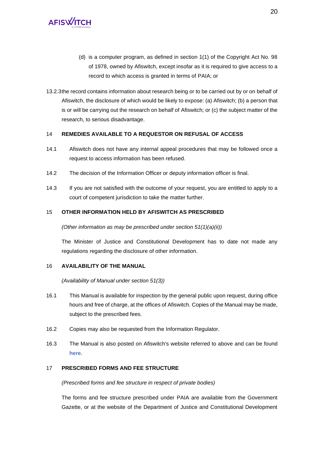- (d) is a computer program, as defined in section 1(1) of the Copyright Act No. 98 of 1978, owned by Afiswitch, except insofar as it is required to give access to a record to which access is granted in terms of PAIA; or
- 13.2.3the record contains information about research being or to be carried out by or on behalf of Afiswitch, the disclosure of which would be likely to expose: (a) Afiswitch; (b) a person that is or will be carrying out the research on behalf of Afiswitch; or (c) the subject matter of the research, to serious disadvantage.

### 14 **REMEDIES AVAILABLE TO A REQUESTOR ON REFUSAL OF ACCESS**

- 14.1 Afiswitch does not have any internal appeal procedures that may be followed once a request to access information has been refused.
- 14.2 The decision of the Information Officer or deputy information officer is final.
- 14.3 If you are not satisfied with the outcome of your request, you are entitled to apply to a court of competent jurisdiction to take the matter further.

### 15 **OTHER INFORMATION HELD BY AFISWITCH AS PRESCRIBED**

*(Other information as may be prescribed under section 51(1)(a)(ii))*

The Minister of Justice and Constitutional Development has to date not made any regulations regarding the disclosure of other information.

### 16 **AVAILABILITY OF THE MANUAL**

*(Availability of Manual under section 51(3))*

- 16.1 This Manual is available for inspection by the general public upon request, during office hours and free of charge, at the offices of Afiswitch. Copies of the Manual may be made, subject to the prescribed fees.
- 16.2 Copies may also be requested from the Information Regulator.
- 16.3 The Manual is also posted on Afiswitch's website referred to above and can be found **[here.](https://www.afiswitch.com/)**

### 17 **PRESCRIBED FORMS AND FEE STRUCTURE**

*(Prescribed forms and fee structure in respect of private bodies)*

The forms and fee structure prescribed under PAIA are available from the Government Gazette, or at the website of the Department of Justice and Constitutional Development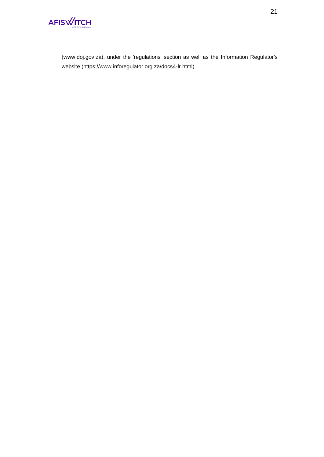

(www.doj.gov.za), under the 'regulations' section as well as the Information Regulator's website (https://www.inforegulator.org.za/docs4-lr.html).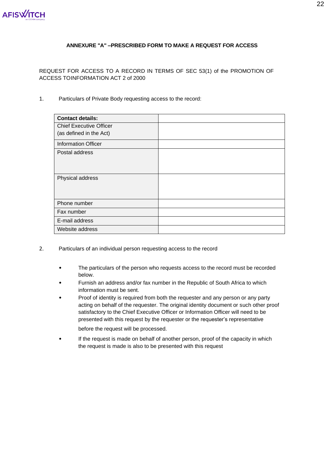

### **ANNEXURE "A" –PRESCRIBED FORM TO MAKE A REQUEST FOR ACCESS**

REQUEST FOR ACCESS TO A RECORD IN TERMS OF SEC 53(1) of the PROMOTION OF ACCESS TOINFORMATION ACT 2 of 2000

1. Particulars of Private Body requesting access to the record:

| <b>Contact details:</b>        |  |
|--------------------------------|--|
| <b>Chief Executive Officer</b> |  |
| (as defined in the Act)        |  |
| <b>Information Officer</b>     |  |
| Postal address                 |  |
|                                |  |
|                                |  |
| Physical address               |  |
|                                |  |
|                                |  |
| Phone number                   |  |
| Fax number                     |  |
| E-mail address                 |  |
| Website address                |  |

- 2. Particulars of an individual person requesting access to the record
	- The particulars of the person who requests access to the record must be recorded below.
	- Furnish an address and/or fax number in the Republic of South Africa to which information must be sent.
	- Proof of identity is required from both the requester and any person or any party acting on behalf of the requester. The original identity document or such other proof satisfactory to the Chief Executive Officer or Information Officer will need to be presented with this request by the requester or the requester's representative

before the request will be processed.

If the request is made on behalf of another person, proof of the capacity in which the request is made is also to be presented with this request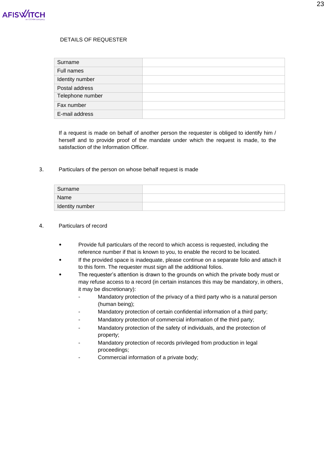

### DETAILS OF REQUESTER

| Surname          |  |
|------------------|--|
| Full names       |  |
| Identity number  |  |
| Postal address   |  |
| Telephone number |  |
| Fax number       |  |
| E-mail address   |  |

If a request is made on behalf of another person the requester is obliged to identify him / herself and to provide proof of the mandate under which the request is made, to the satisfaction of the Information Officer.

### 3. Particulars of the person on whose behalf request is made

| Surname         |  |
|-----------------|--|
| Name            |  |
| Identity number |  |

#### 4. Particulars of record

- Provide full particulars of the record to which access is requested, including the reference number if that is known to you, to enable the record to be located.
- If the provided space is inadequate, please continue on a separate folio and attach it to this form. The requester must sign all the additional folios.
- The requester's attention is drawn to the grounds on which the private body must or may refuse access to a record (in certain instances this may be mandatory, in others, it may be discretionary):
	- Mandatory protection of the privacy of a third party who is a natural person (human being);
	- Mandatory protection of certain confidential information of a third party;
	- Mandatory protection of commercial information of the third party;
	- Mandatory protection of the safety of individuals, and the protection of property;
	- Mandatory protection of records privileged from production in legal proceedings;
	- Commercial information of a private body;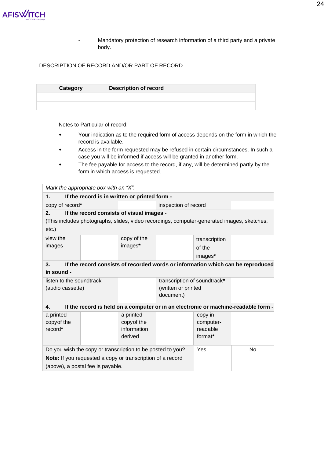- Mandatory protection of research information of a third party and a private body.

### DESCRIPTION OF RECORD AND/OR PART OF RECORD

| Category | <b>Description of record</b> |
|----------|------------------------------|
|          |                              |
|          |                              |

Notes to Particular of record:

- Your indication as to the required form of access depends on the form in which the record is available.
- Access in the form requested may be refused in certain circumstances. In such a case you will be informed if access will be granted in another form.
- The fee payable for access to the record, if any, will be determined partly by the form in which access is requested.

| Mark the appropriate box with an "X".                                                 |                                               |             |                                                                                            |               |                                                                                    |
|---------------------------------------------------------------------------------------|-----------------------------------------------|-------------|--------------------------------------------------------------------------------------------|---------------|------------------------------------------------------------------------------------|
| 1.                                                                                    | If the record is in written or printed form - |             |                                                                                            |               |                                                                                    |
| copy of record*                                                                       |                                               |             | inspection of record                                                                       |               |                                                                                    |
| 2.                                                                                    | If the record consists of visual images -     |             |                                                                                            |               |                                                                                    |
|                                                                                       |                                               |             | (This includes photographs, slides, video recordings, computer-generated images, sketches, |               |                                                                                    |
| $etc.$ )                                                                              |                                               |             |                                                                                            |               |                                                                                    |
| view the                                                                              |                                               | copy of the |                                                                                            | transcription |                                                                                    |
| images                                                                                |                                               | images*     |                                                                                            | of the        |                                                                                    |
|                                                                                       |                                               |             |                                                                                            | images*       |                                                                                    |
| 3.<br>If the record consists of recorded words or information which can be reproduced |                                               |             |                                                                                            |               |                                                                                    |
| in sound -                                                                            |                                               |             |                                                                                            |               |                                                                                    |
| listen to the soundtrack                                                              |                                               |             | transcription of soundtrack*                                                               |               |                                                                                    |
| (audio cassette)                                                                      |                                               |             | (written or printed                                                                        |               |                                                                                    |
|                                                                                       |                                               |             | document)                                                                                  |               |                                                                                    |
| 4.                                                                                    |                                               |             |                                                                                            |               | If the record is held on a computer or in an electronic or machine-readable form - |
| a printed                                                                             |                                               | a printed   |                                                                                            | copy in       |                                                                                    |
| copy of the                                                                           |                                               | copy of the |                                                                                            | computer-     |                                                                                    |
| record*                                                                               |                                               | information |                                                                                            | readable      |                                                                                    |
|                                                                                       |                                               | derived     |                                                                                            | format*       |                                                                                    |
| Do you wish the copy or transcription to be posted to you?                            |                                               |             |                                                                                            | Yes           | <b>No</b>                                                                          |
| Note: If you requested a copy or transcription of a record                            |                                               |             |                                                                                            |               |                                                                                    |
| (above), a postal fee is payable.                                                     |                                               |             |                                                                                            |               |                                                                                    |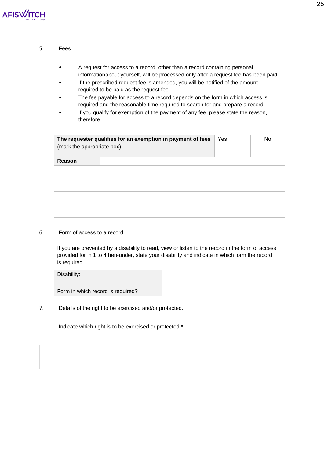

### 5. Fees

- A request for access to a record, other than a record containing personal informationabout yourself, will be processed only after a request fee has been paid.
- If the prescribed request fee is amended, you will be notified of the amount required to be paid as the request fee.
- The fee payable for access to a record depends on the form in which access is required and the reasonable time required to search for and prepare a record.
- If you qualify for exemption of the payment of any fee, please state the reason, therefore.

| The requester qualifies for an exemption in payment of fees<br>(mark the appropriate box) | Yes | <b>No</b> |
|-------------------------------------------------------------------------------------------|-----|-----------|
| Reason                                                                                    |     |           |
|                                                                                           |     |           |
|                                                                                           |     |           |
|                                                                                           |     |           |
|                                                                                           |     |           |
|                                                                                           |     |           |
|                                                                                           |     |           |

### 6. Form of access to a record

If you are prevented by a disability to read, view or listen to the record in the form of access provided for in 1 to 4 hereunder, state your disability and indicate in which form the record is required.

| Disability:                       |  |
|-----------------------------------|--|
| Form in which record is required? |  |

7. Details of the right to be exercised and/or protected.

Indicate which right is to be exercised or protected \*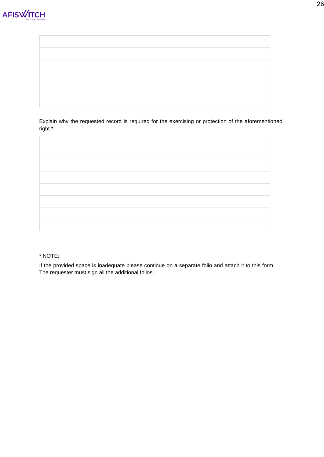

Explain why the requested record is required for the exercising or protection of the aforementioned right \*



### \* NOTE:

If the provided space is inadequate please continue on a separate folio and attach it to this form. The requester must sign all the additional folios.